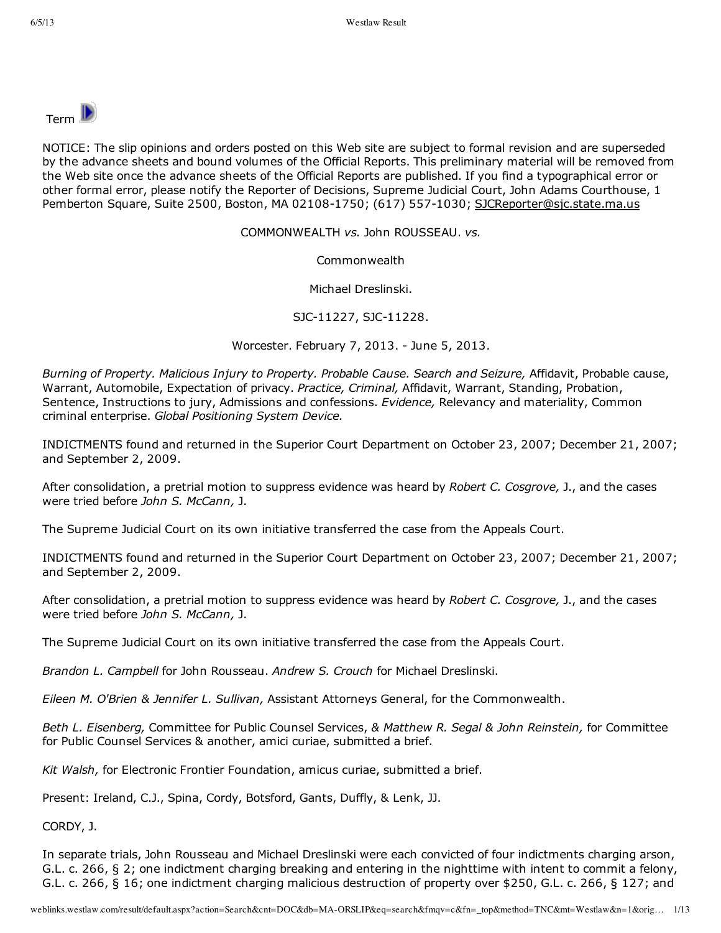

NOTICE: The slip opinions and orders posted on this Web site are subject to formal revision and are superseded by the advance sheets and bound volumes of the Official Reports. This preliminary material will be removed from the Web site once the advance sheets of the Official Reports are published. If you find a typographical error or other formal error, please notify the Reporter of Decisions, Supreme Judicial Court, John Adams Courthouse, 1 Pemberton Square, Suite 2500, Boston, MA 02108-1750; (617) 557-1030; SJCReporter@sjc.state.ma.us

COMMONWEALTH *vs.* John ROUSSEAU. *vs.*

Commonwealth

Michael Dreslinski.

SJC-11227, SJC-11228.

Worcester. February 7, 2013. June 5, 2013.

*Burning of Property. Malicious Injury to Property. Probable Cause. Search and Seizure,* Affidavit, Probable cause, Warrant, Automobile, Expectation of privacy. *Practice, Criminal,* Affidavit, Warrant, Standing, Probation, Sentence, Instructions to jury, Admissions and confessions. *Evidence,* Relevancy and materiality, Common criminal enterprise. *Global Positioning System Device.*

INDICTMENTS found and returned in the Superior Court Department on October 23, 2007; December 21, 2007; and September 2, 2009.

After consolidation, a pretrial motion to suppress evidence was heard by *Robert C. Cosgrove,* J., and the cases were tried before *John S. McCann,* J.

The Supreme Judicial Court on its own initiative transferred the case from the Appeals Court.

INDICTMENTS found and returned in the Superior Court Department on October 23, 2007; December 21, 2007; and September 2, 2009.

After consolidation, a pretrial motion to suppress evidence was heard by *Robert C. Cosgrove,* J., and the cases were tried before *John S. McCann,* J.

The Supreme Judicial Court on its own initiative transferred the case from the Appeals Court.

*Brandon L. Campbell* for John Rousseau. *Andrew S. Crouch* for Michael Dreslinski.

*Eileen M. O'Brien & Jennifer L. Sullivan,* Assistant Attorneys General, for the Commonwealth.

*Beth L. Eisenberg,* Committee for Public Counsel Services, *& Matthew R. Segal & John Reinstein,* for Committee for Public Counsel Services & another, amici curiae, submitted a brief.

*Kit Walsh,* for Electronic Frontier Foundation, amicus curiae, submitted a brief.

Present: Ireland, C.J., Spina, Cordy, Botsford, Gants, Duffly, & Lenk, JJ.

CORDY, J.

In separate trials, John Rousseau and Michael Dreslinski were each convicted of four indictments charging arson, G.L. c. 266, § 2; one indictment charging breaking and entering in the nighttime with intent to commit a felony, G.L. c. 266, § 16; one indictment charging malicious destruction of property over \$250, G.L. c. 266, § 127; and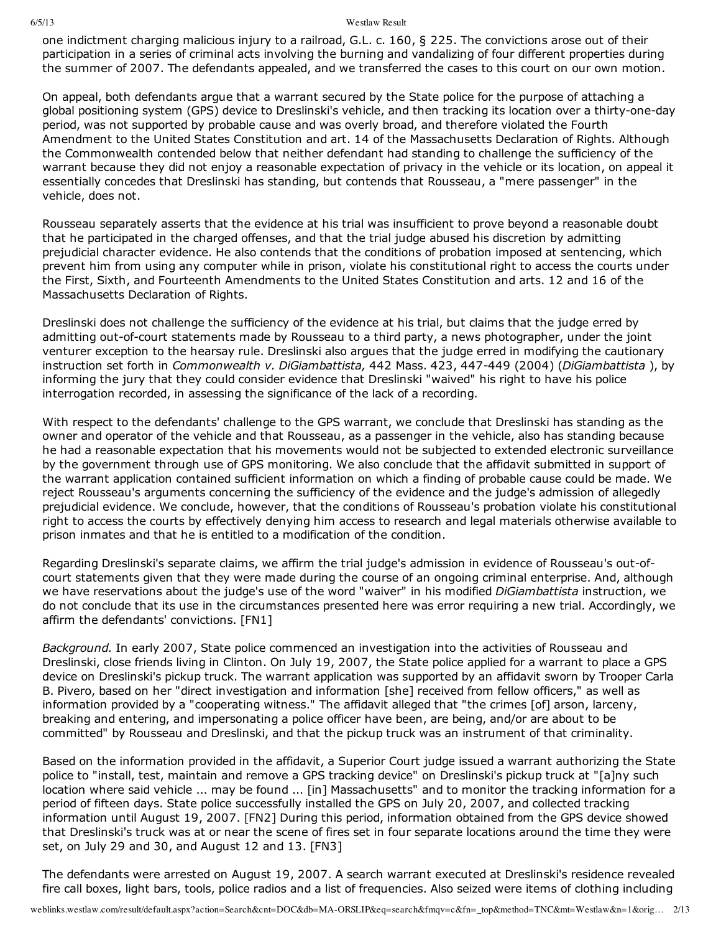one indictment charging malicious injury to a railroad, G.L. c. 160, § 225. The convictions arose out of their participation in a series of criminal acts involving the burning and vandalizing of four different properties during the summer of 2007. The defendants appealed, and we transferred the cases to this court on our own motion.

On appeal, both defendants argue that a warrant secured by the State police for the purpose of attaching a global positioning system (GPS) device to Dreslinski's vehicle, and then tracking its location over a thirty-one-day period, was not supported by probable cause and was overly broad, and therefore violated the Fourth Amendment to the United States Constitution and art. 14 of the Massachusetts Declaration of Rights. Although the Commonwealth contended below that neither defendant had standing to challenge the sufficiency of the warrant because they did not enjoy a reasonable expectation of privacy in the vehicle or its location, on appeal it essentially concedes that Dreslinski has standing, but contends that Rousseau, a "mere passenger" in the vehicle, does not.

Rousseau separately asserts that the evidence at his trial was insufficient to prove beyond a reasonable doubt that he participated in the charged offenses, and that the trial judge abused his discretion by admitting prejudicial character evidence. He also contends that the conditions of probation imposed at sentencing, which prevent him from using any computer while in prison, violate his constitutional right to access the courts under the First, Sixth, and Fourteenth Amendments to the United States Constitution and arts. 12 and 16 of the Massachusetts Declaration of Rights.

Dreslinski does not challenge the sufficiency of the evidence at his trial, but claims that the judge erred by admitting out-of-court statements made by Rousseau to a third party, a news photographer, under the joint venturer exception to the hearsay rule. Dreslinski also argues that the judge erred in modifying the cautionary instruction set forth in *Commonwealth v. DiGiambattista,* 442 Mass. 423, 447449 (2004) (*DiGiambattista* ), by informing the jury that they could consider evidence that Dreslinski "waived" his right to have his police interrogation recorded, in assessing the significance of the lack of a recording.

With respect to the defendants' challenge to the GPS warrant, we conclude that Dreslinski has standing as the owner and operator of the vehicle and that Rousseau, as a passenger in the vehicle, also has standing because he had a reasonable expectation that his movements would not be subjected to extended electronic surveillance by the government through use of GPS monitoring. We also conclude that the affidavit submitted in support of the warrant application contained sufficient information on which a finding of probable cause could be made. We reject Rousseau's arguments concerning the sufficiency of the evidence and the judge's admission of allegedly prejudicial evidence. We conclude, however, that the conditions of Rousseau's probation violate his constitutional right to access the courts by effectively denying him access to research and legal materials otherwise available to prison inmates and that he is entitled to a modification of the condition.

Regarding Dreslinski's separate claims, we affirm the trial judge's admission in evidence of Rousseau's out-ofcourt statements given that they were made during the course of an ongoing criminal enterprise. And, although we have reservations about the judge's use of the word "waiver" in his modified *DiGiambattista* instruction, we do not conclude that its use in the circumstances presented here was error requiring a new trial. Accordingly, we affirm the defendants' convictions. [FN1]

*Background.* In early 2007, State police commenced an investigation into the activities of Rousseau and Dreslinski, close friends living in Clinton. On July 19, 2007, the State police applied for a warrant to place a GPS device on Dreslinski's pickup truck. The warrant application was supported by an affidavit sworn by Trooper Carla B. Pivero, based on her "direct investigation and information [she] received from fellow officers," as well as information provided by a "cooperating witness." The affidavit alleged that "the crimes [of] arson, larceny, breaking and entering, and impersonating a police officer have been, are being, and/or are about to be committed" by Rousseau and Dreslinski, and that the pickup truck was an instrument of that criminality.

Based on the information provided in the affidavit, a Superior Court judge issued a warrant authorizing the State police to "install, test, maintain and remove a GPS tracking device" on Dreslinski's pickup truck at "[a]ny such location where said vehicle ... may be found ... [in] Massachusetts" and to monitor the tracking information for a period of fifteen days. State police successfully installed the GPS on July 20, 2007, and collected tracking information until August 19, 2007. [FN2] During this period, information obtained from the GPS device showed that Dreslinski's truck was at or near the scene of fires set in four separate locations around the time they were set, on July 29 and 30, and August 12 and 13. [FN3]

The defendants were arrested on August 19, 2007. A search warrant executed at Dreslinski's residence revealed fire call boxes, light bars, tools, police radios and a list of frequencies. Also seized were items of clothing including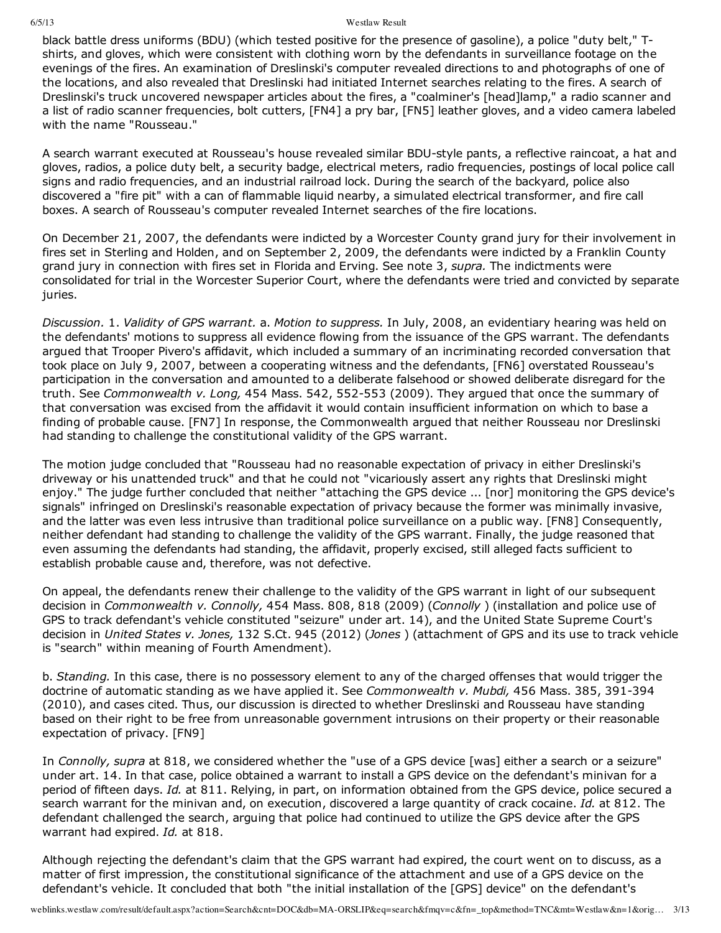black battle dress uniforms (BDU) (which tested positive for the presence of gasoline), a police "duty belt," Tshirts, and gloves, which were consistent with clothing worn by the defendants in surveillance footage on the evenings of the fires. An examination of Dreslinski's computer revealed directions to and photographs of one of the locations, and also revealed that Dreslinski had initiated Internet searches relating to the fires. A search of Dreslinski's truck uncovered newspaper articles about the fires, a "coalminer's [head]lamp," a radio scanner and a list of radio scanner frequencies, bolt cutters, [FN4] a pry bar, [FN5] leather gloves, and a video camera labeled with the name "Rousseau."

A search warrant executed at Rousseau's house revealed similar BDU-style pants, a reflective raincoat, a hat and gloves, radios, a police duty belt, a security badge, electrical meters, radio frequencies, postings of local police call signs and radio frequencies, and an industrial railroad lock. During the search of the backyard, police also discovered a "fire pit" with a can of flammable liquid nearby, a simulated electrical transformer, and fire call boxes. A search of Rousseau's computer revealed Internet searches of the fire locations.

On December 21, 2007, the defendants were indicted by a Worcester County grand jury for their involvement in fires set in Sterling and Holden, and on September 2, 2009, the defendants were indicted by a Franklin County grand jury in connection with fires set in Florida and Erving. See note 3, *supra.* The indictments were consolidated for trial in the Worcester Superior Court, where the defendants were tried and convicted by separate juries.

*Discussion.* 1. *Validity of GPS warrant.* a. *Motion to suppress.* In July, 2008, an evidentiary hearing was held on the defendants' motions to suppress all evidence flowing from the issuance of the GPS warrant. The defendants argued that Trooper Pivero's affidavit, which included a summary of an incriminating recorded conversation that took place on July 9, 2007, between a cooperating witness and the defendants, [FN6] overstated Rousseau's participation in the conversation and amounted to a deliberate falsehood or showed deliberate disregard for the truth. See *Commonwealth v. Long*, 454 Mass. 542, 552-553 (2009). They argued that once the summary of that conversation was excised from the affidavit it would contain insufficient information on which to base a finding of probable cause. [FN7] In response, the Commonwealth argued that neither Rousseau nor Dreslinski had standing to challenge the constitutional validity of the GPS warrant.

The motion judge concluded that "Rousseau had no reasonable expectation of privacy in either Dreslinski's driveway or his unattended truck" and that he could not "vicariously assert any rights that Dreslinski might enjoy." The judge further concluded that neither "attaching the GPS device ... [nor] monitoring the GPS device's signals" infringed on Dreslinski's reasonable expectation of privacy because the former was minimally invasive, and the latter was even less intrusive than traditional police surveillance on a public way. [FN8] Consequently, neither defendant had standing to challenge the validity of the GPS warrant. Finally, the judge reasoned that even assuming the defendants had standing, the affidavit, properly excised, still alleged facts sufficient to establish probable cause and, therefore, was not defective.

On appeal, the defendants renew their challenge to the validity of the GPS warrant in light of our subsequent decision in *Commonwealth v. Connolly,* 454 Mass. 808, 818 (2009) (*Connolly* ) (installation and police use of GPS to track defendant's vehicle constituted "seizure" under art. 14), and the United State Supreme Court's decision in *United States v. Jones,* 132 S.Ct. 945 (2012) (*Jones* ) (attachment of GPS and its use to track vehicle is "search" within meaning of Fourth Amendment).

b. *Standing.* In this case, there is no possessory element to any of the charged offenses that would trigger the doctrine of automatic standing as we have applied it. See *Commonwealth v. Mubdi,* 456 Mass. 385, 391-394 (2010), and cases cited. Thus, our discussion is directed to whether Dreslinski and Rousseau have standing based on their right to be free from unreasonable government intrusions on their property or their reasonable expectation of privacy. [FN9]

In *Connolly, supra* at 818, we considered whether the "use of a GPS device [was] either a search or a seizure" under art. 14. In that case, police obtained a warrant to install a GPS device on the defendant's minivan for a period of fifteen days. *Id.* at 811. Relying, in part, on information obtained from the GPS device, police secured a search warrant for the minivan and, on execution, discovered a large quantity of crack cocaine. *Id.* at 812. The defendant challenged the search, arguing that police had continued to utilize the GPS device after the GPS warrant had expired. *Id.* at 818.

Although rejecting the defendant's claim that the GPS warrant had expired, the court went on to discuss, as a matter of first impression, the constitutional significance of the attachment and use of a GPS device on the defendant's vehicle. It concluded that both "the initial installation of the [GPS] device" on the defendant's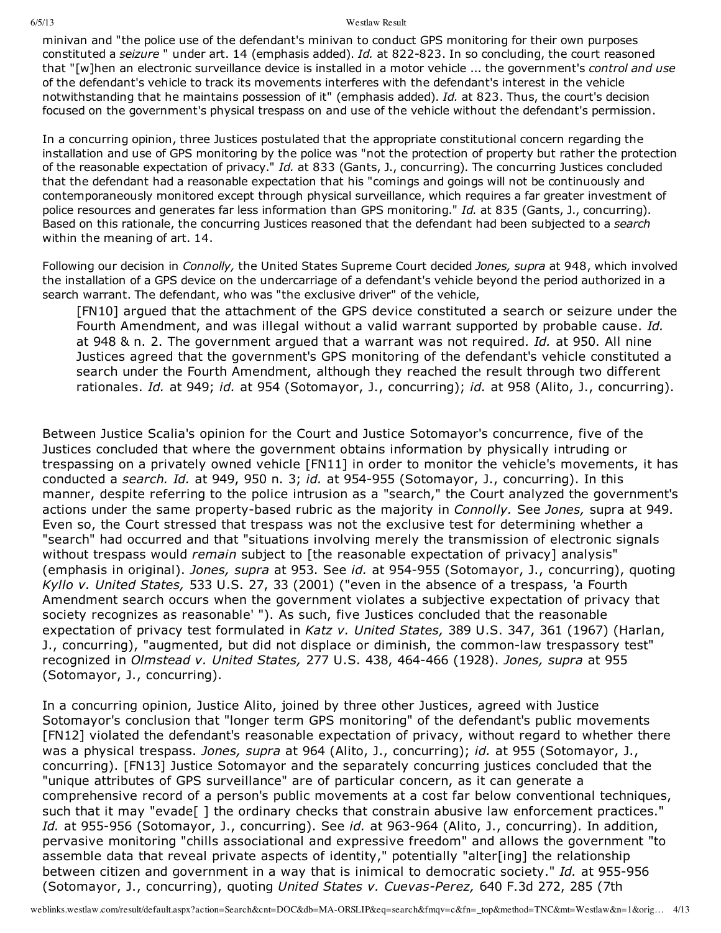minivan and "the police use of the defendant's minivan to conduct GPS monitoring for their own purposes constituted a *seizure* " under art. 14 (emphasis added). *Id.* at 822-823. In so concluding, the court reasoned that "[w]hen an electronic surveillance device is installed in a motor vehicle ... the government's *control and use* of the defendant's vehicle to track its movements interferes with the defendant's interest in the vehicle notwithstanding that he maintains possession of it" (emphasis added). *Id.* at 823. Thus, the court's decision focused on the government's physical trespass on and use of the vehicle without the defendant's permission.

In a concurring opinion, three Justices postulated that the appropriate constitutional concern regarding the installation and use of GPS monitoring by the police was "not the protection of property but rather the protection of the reasonable expectation of privacy." *Id.* at 833 (Gants, J., concurring). The concurring Justices concluded that the defendant had a reasonable expectation that his "comings and goings will not be continuously and contemporaneously monitored except through physical surveillance, which requires a far greater investment of police resources and generates far less information than GPS monitoring." *Id.* at 835 (Gants, J., concurring). Based on this rationale, the concurring Justices reasoned that the defendant had been subjected to a *search* within the meaning of art. 14.

Following our decision in *Connolly,* the United States Supreme Court decided *Jones, supra* at 948, which involved the installation of a GPS device on the undercarriage of a defendant's vehicle beyond the period authorized in a search warrant. The defendant, who was "the exclusive driver" of the vehicle,

[FN10] argued that the attachment of the GPS device constituted a search or seizure under the Fourth Amendment, and was illegal without a valid warrant supported by probable cause. *Id.* at 948 & n. 2. The government argued that a warrant was not required. *Id.* at 950. All nine Justices agreed that the government's GPS monitoring of the defendant's vehicle constituted a search under the Fourth Amendment, although they reached the result through two different rationales. *Id.* at 949; *id.* at 954 (Sotomayor, J., concurring); *id.* at 958 (Alito, J., concurring).

Between Justice Scalia's opinion for the Court and Justice Sotomayor's concurrence, five of the Justices concluded that where the government obtains information by physically intruding or trespassing on a privately owned vehicle [FN11] in order to monitor the vehicle's movements, it has conducted a *search. Id.* at 949, 950 n. 3; *id.* at 954-955 (Sotomayor, J., concurring). In this manner, despite referring to the police intrusion as a "search," the Court analyzed the government's actions under the same property-based rubric as the majority in *Connolly.* See *Jones*, supra at 949. Even so, the Court stressed that trespass was not the exclusive test for determining whether a "search" had occurred and that "situations involving merely the transmission of electronic signals without trespass would *remain* subject to [the reasonable expectation of privacy] analysis" (emphasis in original). *Jones, supra* at 953. See *id.* at 954955 (Sotomayor, J., concurring), quoting *Kyllo v. United States,* 533 U.S. 27, 33 (2001) ("even in the absence of a trespass, 'a Fourth Amendment search occurs when the government violates a subjective expectation of privacy that society recognizes as reasonable' "). As such, five Justices concluded that the reasonable expectation of privacy test formulated in *Katz v. United States,* 389 U.S. 347, 361 (1967) (Harlan, J., concurring), "augmented, but did not displace or diminish, the common-law trespassory test" recognized in *Olmstead v. United States,* 277 U.S. 438, 464466 (1928). *Jones, supra* at 955 (Sotomayor, J., concurring).

In a concurring opinion, Justice Alito, joined by three other Justices, agreed with Justice Sotomayor's conclusion that "longer term GPS monitoring" of the defendant's public movements [FN12] violated the defendant's reasonable expectation of privacy, without regard to whether there was a physical trespass. *Jones, supra* at 964 (Alito, J., concurring); *id.* at 955 (Sotomayor, J., concurring). [FN13] Justice Sotomayor and the separately concurring justices concluded that the "unique attributes of GPS surveillance" are of particular concern, as it can generate a comprehensive record of a person's public movements at a cost far below conventional techniques, such that it may "evade [] the ordinary checks that constrain abusive law enforcement practices." Id. at 955-956 (Sotomayor, J., concurring). See *id.* at 963-964 (Alito, J., concurring). In addition, pervasive monitoring "chills associational and expressive freedom" and allows the government "to assemble data that reveal private aspects of identity," potentially "alter[ing] the relationship between citizen and government in a way that is inimical to democratic society." *Id.* at 955-956 (Sotomayor, J., concurring), quoting *United States v. Cuevas-Perez*, 640 F.3d 272, 285 (7th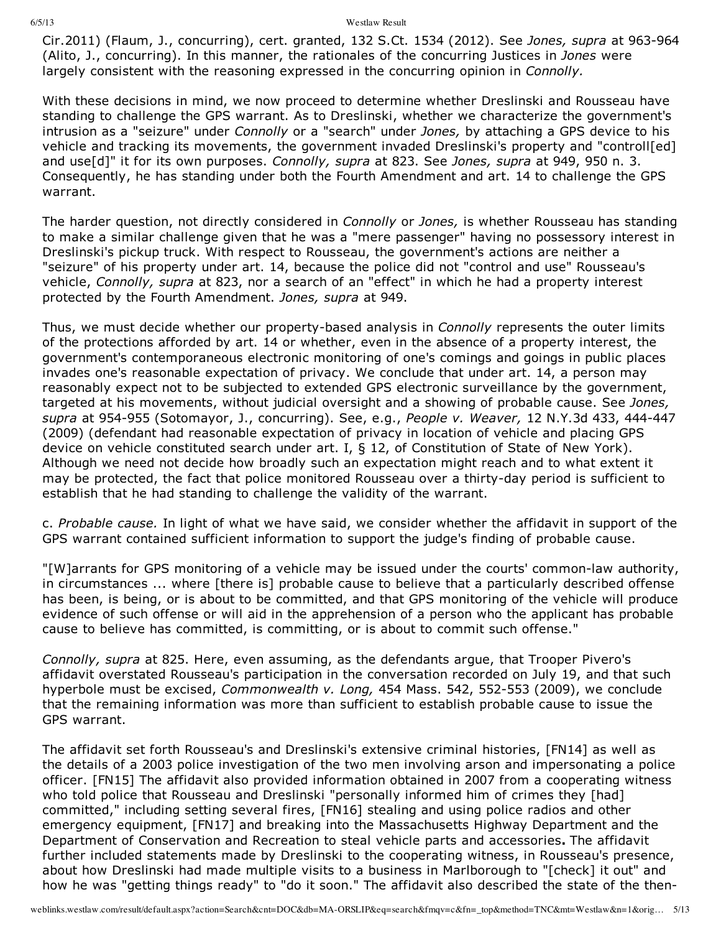Cir.2011) (Flaum, J., concurring), cert. granted, 132 S.Ct. 1534 (2012). See *Jones, supra* at 963-964 (Alito, J., concurring). In this manner, the rationales of the concurring Justices in *Jones* were largely consistent with the reasoning expressed in the concurring opinion in *Connolly.*

With these decisions in mind, we now proceed to determine whether Dreslinski and Rousseau have standing to challenge the GPS warrant. As to Dreslinski, whether we characterize the government's intrusion as a "seizure" under *Connolly* or a "search" under *Jones,* by attaching a GPS device to his vehicle and tracking its movements, the government invaded Dreslinski's property and "controll[ed] and use[d]" it for its own purposes. *Connolly, supra* at 823. See *Jones, supra* at 949, 950 n. 3. Consequently, he has standing under both the Fourth Amendment and art. 14 to challenge the GPS warrant.

The harder question, not directly considered in *Connolly* or *Jones,* is whether Rousseau has standing to make a similar challenge given that he was a "mere passenger" having no possessory interest in Dreslinski's pickup truck. With respect to Rousseau, the government's actions are neither a "seizure" of his property under art. 14, because the police did not "control and use" Rousseau's vehicle, *Connolly, supra* at 823, nor a search of an "effect" in which he had a property interest protected by the Fourth Amendment. *Jones, supra* at 949.

Thus, we must decide whether our property-based analysis in *Connolly* represents the outer limits of the protections afforded by art. 14 or whether, even in the absence of a property interest, the government's contemporaneous electronic monitoring of one's comings and goings in public places invades one's reasonable expectation of privacy. We conclude that under art. 14, a person may reasonably expect not to be subjected to extended GPS electronic surveillance by the government, targeted at his movements, without judicial oversight and a showing of probable cause. See *Jones, supra* at 954955 (Sotomayor, J., concurring). See, e.g., *People v. Weaver,* 12 N.Y.3d 433, 444447 (2009) (defendant had reasonable expectation of privacy in location of vehicle and placing GPS device on vehicle constituted search under art. I, § 12, of Constitution of State of New York). Although we need not decide how broadly such an expectation might reach and to what extent it may be protected, the fact that police monitored Rousseau over a thirty-day period is sufficient to establish that he had standing to challenge the validity of the warrant.

c. *Probable cause.* In light of what we have said, we consider whether the affidavit in support of the GPS warrant contained sufficient information to support the judge's finding of probable cause.

"[W]arrants for GPS monitoring of a vehicle may be issued under the courts' common-law authority, in circumstances ... where [there is] probable cause to believe that a particularly described offense has been, is being, or is about to be committed, and that GPS monitoring of the vehicle will produce evidence of such offense or will aid in the apprehension of a person who the applicant has probable cause to believe has committed, is committing, or is about to commit such offense."

*Connolly, supra* at 825. Here, even assuming, as the defendants argue, that Trooper Pivero's affidavit overstated Rousseau's participation in the conversation recorded on July 19, and that such hyperbole must be excised, *Commonwealth v. Long*, 454 Mass. 542, 552-553 (2009), we conclude that the remaining information was more than sufficient to establish probable cause to issue the GPS warrant.

The affidavit set forth Rousseau's and Dreslinski's extensive criminal histories, [FN14] as well as the details of a 2003 police investigation of the two men involving arson and impersonating a police officer. [FN15] The affidavit also provided information obtained in 2007 from a cooperating witness who told police that Rousseau and Dreslinski "personally informed him of crimes they [had] committed," including setting several fires, [FN16] stealing and using police radios and other emergency equipment, [FN17] and breaking into the Massachusetts Highway Department and the Department of Conservation and Recreation to steal vehicle parts and accessories**.** The affidavit further included statements made by Dreslinski to the cooperating witness, in Rousseau's presence, about how Dreslinski had made multiple visits to a business in Marlborough to "[check] it out" and how he was "getting things ready" to "do it soon." The affidavit also described the state of the then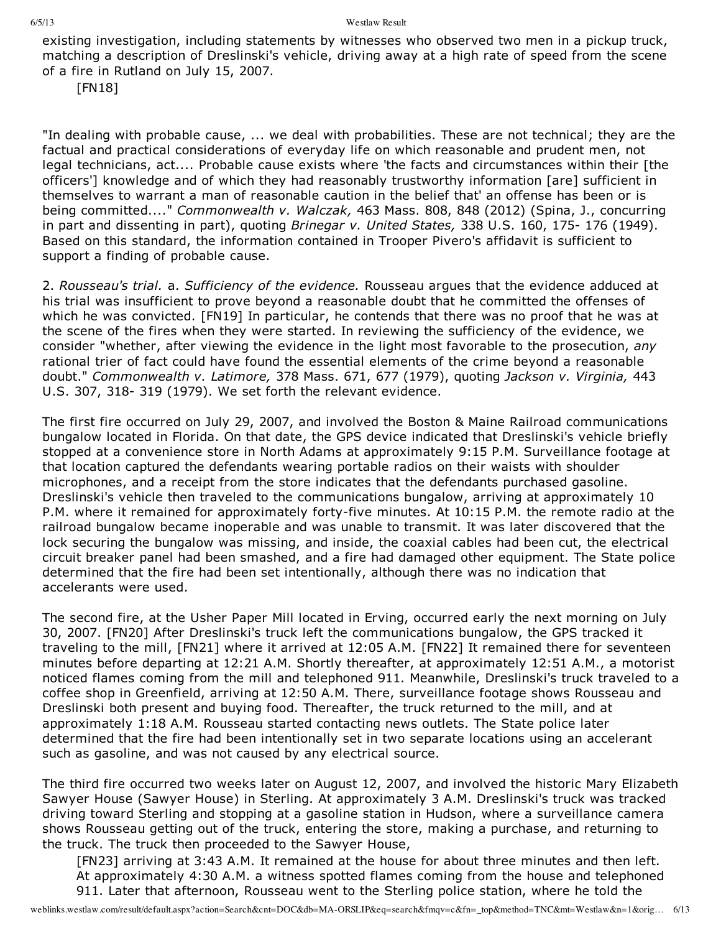existing investigation, including statements by witnesses who observed two men in a pickup truck, matching a description of Dreslinski's vehicle, driving away at a high rate of speed from the scene of a fire in Rutland on July 15, 2007.

[FN18]

"In dealing with probable cause, ... we deal with probabilities. These are not technical; they are the factual and practical considerations of everyday life on which reasonable and prudent men, not legal technicians, act.... Probable cause exists where 'the facts and circumstances within their [the officers'] knowledge and of which they had reasonably trustworthy information [are] sufficient in themselves to warrant a man of reasonable caution in the belief that' an offense has been or is being committed...." *Commonwealth v. Walczak,* 463 Mass. 808, 848 (2012) (Spina, J., concurring in part and dissenting in part), quoting *Brinegar v. United States,* 338 U.S. 160, 175 176 (1949). Based on this standard, the information contained in Trooper Pivero's affidavit is sufficient to support a finding of probable cause.

2. *Rousseau's trial.* a. *Sufficiency of the evidence.* Rousseau argues that the evidence adduced at his trial was insufficient to prove beyond a reasonable doubt that he committed the offenses of which he was convicted. [FN19] In particular, he contends that there was no proof that he was at the scene of the fires when they were started. In reviewing the sufficiency of the evidence, we consider "whether, after viewing the evidence in the light most favorable to the prosecution, *any* rational trier of fact could have found the essential elements of the crime beyond a reasonable doubt." *Commonwealth v. Latimore,* 378 Mass. 671, 677 (1979), quoting *Jackson v. Virginia,* 443 U.S. 307, 318-319 (1979). We set forth the relevant evidence.

The first fire occurred on July 29, 2007, and involved the Boston & Maine Railroad communications bungalow located in Florida. On that date, the GPS device indicated that Dreslinski's vehicle briefly stopped at a convenience store in North Adams at approximately 9:15 P.M. Surveillance footage at that location captured the defendants wearing portable radios on their waists with shoulder microphones, and a receipt from the store indicates that the defendants purchased gasoline. Dreslinski's vehicle then traveled to the communications bungalow, arriving at approximately 10 P.M. where it remained for approximately forty-five minutes. At 10:15 P.M. the remote radio at the railroad bungalow became inoperable and was unable to transmit. It was later discovered that the lock securing the bungalow was missing, and inside, the coaxial cables had been cut, the electrical circuit breaker panel had been smashed, and a fire had damaged other equipment. The State police determined that the fire had been set intentionally, although there was no indication that accelerants were used.

The second fire, at the Usher Paper Mill located in Erving, occurred early the next morning on July 30, 2007. [FN20] After Dreslinski's truck left the communications bungalow, the GPS tracked it traveling to the mill, [FN21] where it arrived at 12:05 A.M. [FN22] It remained there for seventeen minutes before departing at 12:21 A.M. Shortly thereafter, at approximately 12:51 A.M., a motorist noticed flames coming from the mill and telephoned 911. Meanwhile, Dreslinski's truck traveled to a coffee shop in Greenfield, arriving at 12:50 A.M. There, surveillance footage shows Rousseau and Dreslinski both present and buying food. Thereafter, the truck returned to the mill, and at approximately 1:18 A.M. Rousseau started contacting news outlets. The State police later determined that the fire had been intentionally set in two separate locations using an accelerant such as gasoline, and was not caused by any electrical source.

The third fire occurred two weeks later on August 12, 2007, and involved the historic Mary Elizabeth Sawyer House (Sawyer House) in Sterling. At approximately 3 A.M. Dreslinski's truck was tracked driving toward Sterling and stopping at a gasoline station in Hudson, where a surveillance camera shows Rousseau getting out of the truck, entering the store, making a purchase, and returning to the truck. The truck then proceeded to the Sawyer House,

[FN23] arriving at 3:43 A.M. It remained at the house for about three minutes and then left. At approximately 4:30 A.M. a witness spotted flames coming from the house and telephoned 911. Later that afternoon, Rousseau went to the Sterling police station, where he told the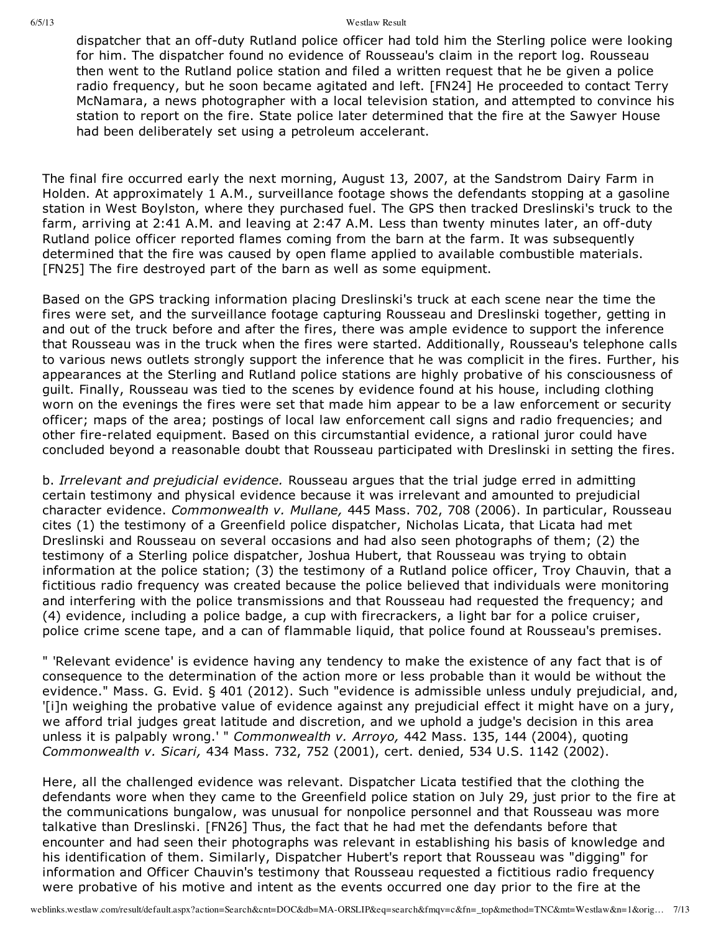dispatcher that an off-duty Rutland police officer had told him the Sterling police were looking for him. The dispatcher found no evidence of Rousseau's claim in the report log. Rousseau then went to the Rutland police station and filed a written request that he be given a police radio frequency, but he soon became agitated and left. [FN24] He proceeded to contact Terry McNamara, a news photographer with a local television station, and attempted to convince his station to report on the fire. State police later determined that the fire at the Sawyer House had been deliberately set using a petroleum accelerant.

The final fire occurred early the next morning, August 13, 2007, at the Sandstrom Dairy Farm in Holden. At approximately 1 A.M., surveillance footage shows the defendants stopping at a gasoline station in West Boylston, where they purchased fuel. The GPS then tracked Dreslinski's truck to the farm, arriving at 2:41 A.M. and leaving at 2:47 A.M. Less than twenty minutes later, an off-duty Rutland police officer reported flames coming from the barn at the farm. It was subsequently determined that the fire was caused by open flame applied to available combustible materials. [FN25] The fire destroyed part of the barn as well as some equipment.

Based on the GPS tracking information placing Dreslinski's truck at each scene near the time the fires were set, and the surveillance footage capturing Rousseau and Dreslinski together, getting in and out of the truck before and after the fires, there was ample evidence to support the inference that Rousseau was in the truck when the fires were started. Additionally, Rousseau's telephone calls to various news outlets strongly support the inference that he was complicit in the fires. Further, his appearances at the Sterling and Rutland police stations are highly probative of his consciousness of guilt. Finally, Rousseau was tied to the scenes by evidence found at his house, including clothing worn on the evenings the fires were set that made him appear to be a law enforcement or security officer; maps of the area; postings of local law enforcement call signs and radio frequencies; and other fire-related equipment. Based on this circumstantial evidence, a rational juror could have concluded beyond a reasonable doubt that Rousseau participated with Dreslinski in setting the fires.

b. *Irrelevant and prejudicial evidence.* Rousseau argues that the trial judge erred in admitting certain testimony and physical evidence because it was irrelevant and amounted to prejudicial character evidence. *Commonwealth v. Mullane,* 445 Mass. 702, 708 (2006). In particular, Rousseau cites (1) the testimony of a Greenfield police dispatcher, Nicholas Licata, that Licata had met Dreslinski and Rousseau on several occasions and had also seen photographs of them; (2) the testimony of a Sterling police dispatcher, Joshua Hubert, that Rousseau was trying to obtain information at the police station; (3) the testimony of a Rutland police officer, Troy Chauvin, that a fictitious radio frequency was created because the police believed that individuals were monitoring and interfering with the police transmissions and that Rousseau had requested the frequency; and (4) evidence, including a police badge, a cup with firecrackers, a light bar for a police cruiser, police crime scene tape, and a can of flammable liquid, that police found at Rousseau's premises.

" 'Relevant evidence' is evidence having any tendency to make the existence of any fact that is of consequence to the determination of the action more or less probable than it would be without the evidence." Mass. G. Evid. § 401 (2012). Such "evidence is admissible unless unduly prejudicial, and, '[i]n weighing the probative value of evidence against any prejudicial effect it might have on a jury, we afford trial judges great latitude and discretion, and we uphold a judge's decision in this area unless it is palpably wrong.' " *Commonwealth v. Arroyo,* 442 Mass. 135, 144 (2004), quoting *Commonwealth v. Sicari,* 434 Mass. 732, 752 (2001), cert. denied, 534 U.S. 1142 (2002).

Here, all the challenged evidence was relevant. Dispatcher Licata testified that the clothing the defendants wore when they came to the Greenfield police station on July 29, just prior to the fire at the communications bungalow, was unusual for nonpolice personnel and that Rousseau was more talkative than Dreslinski. [FN26] Thus, the fact that he had met the defendants before that encounter and had seen their photographs was relevant in establishing his basis of knowledge and his identification of them. Similarly, Dispatcher Hubert's report that Rousseau was "digging" for information and Officer Chauvin's testimony that Rousseau requested a fictitious radio frequency were probative of his motive and intent as the events occurred one day prior to the fire at the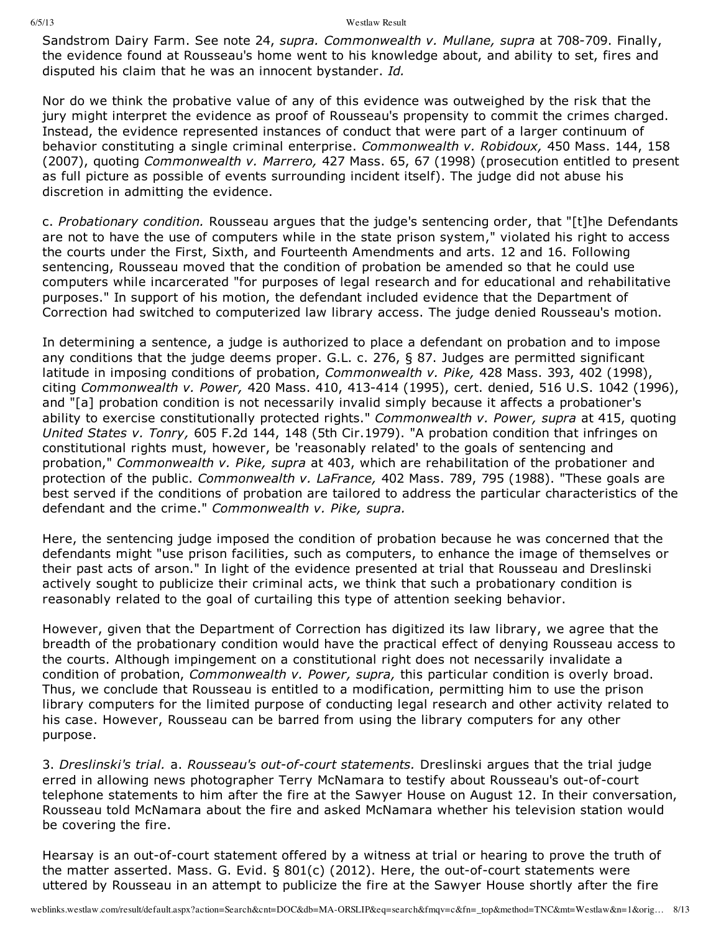Sandstrom Dairy Farm. See note 24, *supra. Commonwealth v. Mullane, supra* at 708709. Finally, the evidence found at Rousseau's home went to his knowledge about, and ability to set, fires and disputed his claim that he was an innocent bystander. *Id.*

Nor do we think the probative value of any of this evidence was outweighed by the risk that the jury might interpret the evidence as proof of Rousseau's propensity to commit the crimes charged. Instead, the evidence represented instances of conduct that were part of a larger continuum of behavior constituting a single criminal enterprise. *Commonwealth v. Robidoux,* 450 Mass. 144, 158 (2007), quoting *Commonwealth v. Marrero,* 427 Mass. 65, 67 (1998) (prosecution entitled to present as full picture as possible of events surrounding incident itself). The judge did not abuse his discretion in admitting the evidence.

c. *Probationary condition.* Rousseau argues that the judge's sentencing order, that "[t]he Defendants are not to have the use of computers while in the state prison system," violated his right to access the courts under the First, Sixth, and Fourteenth Amendments and arts. 12 and 16. Following sentencing, Rousseau moved that the condition of probation be amended so that he could use computers while incarcerated "for purposes of legal research and for educational and rehabilitative purposes." In support of his motion, the defendant included evidence that the Department of Correction had switched to computerized law library access. The judge denied Rousseau's motion.

In determining a sentence, a judge is authorized to place a defendant on probation and to impose any conditions that the judge deems proper. G.L. c. 276, § 87. Judges are permitted significant latitude in imposing conditions of probation, *Commonwealth v. Pike,* 428 Mass. 393, 402 (1998), citing *Commonwealth v. Power,* 420 Mass. 410, 413414 (1995), cert. denied, 516 U.S. 1042 (1996), and "[a] probation condition is not necessarily invalid simply because it affects a probationer's ability to exercise constitutionally protected rights." *Commonwealth v. Power, supra* at 415, quoting *United States v. Tonry,* 605 F.2d 144, 148 (5th Cir.1979). "A probation condition that infringes on constitutional rights must, however, be 'reasonably related' to the goals of sentencing and probation," *Commonwealth v. Pike, supra* at 403, which are rehabilitation of the probationer and protection of the public. *Commonwealth v. LaFrance,* 402 Mass. 789, 795 (1988). "These goals are best served if the conditions of probation are tailored to address the particular characteristics of the defendant and the crime." *Commonwealth v. Pike, supra.*

Here, the sentencing judge imposed the condition of probation because he was concerned that the defendants might "use prison facilities, such as computers, to enhance the image of themselves or their past acts of arson." In light of the evidence presented at trial that Rousseau and Dreslinski actively sought to publicize their criminal acts, we think that such a probationary condition is reasonably related to the goal of curtailing this type of attention seeking behavior.

However, given that the Department of Correction has digitized its law library, we agree that the breadth of the probationary condition would have the practical effect of denying Rousseau access to the courts. Although impingement on a constitutional right does not necessarily invalidate a condition of probation, *Commonwealth v. Power, supra,* this particular condition is overly broad. Thus, we conclude that Rousseau is entitled to a modification, permitting him to use the prison library computers for the limited purpose of conducting legal research and other activity related to his case. However, Rousseau can be barred from using the library computers for any other purpose.

3. *Dreslinski's trial.* a. *Rousseau's out-of-court statements.* Dreslinski argues that the trial judge erred in allowing news photographer Terry McNamara to testify about Rousseau's out-of-court telephone statements to him after the fire at the Sawyer House on August 12. In their conversation, Rousseau told McNamara about the fire and asked McNamara whether his television station would be covering the fire.

Hearsay is an out-of-court statement offered by a witness at trial or hearing to prove the truth of the matter asserted. Mass. G. Evid.  $\S$  801(c) (2012). Here, the out-of-court statements were uttered by Rousseau in an attempt to publicize the fire at the Sawyer House shortly after the fire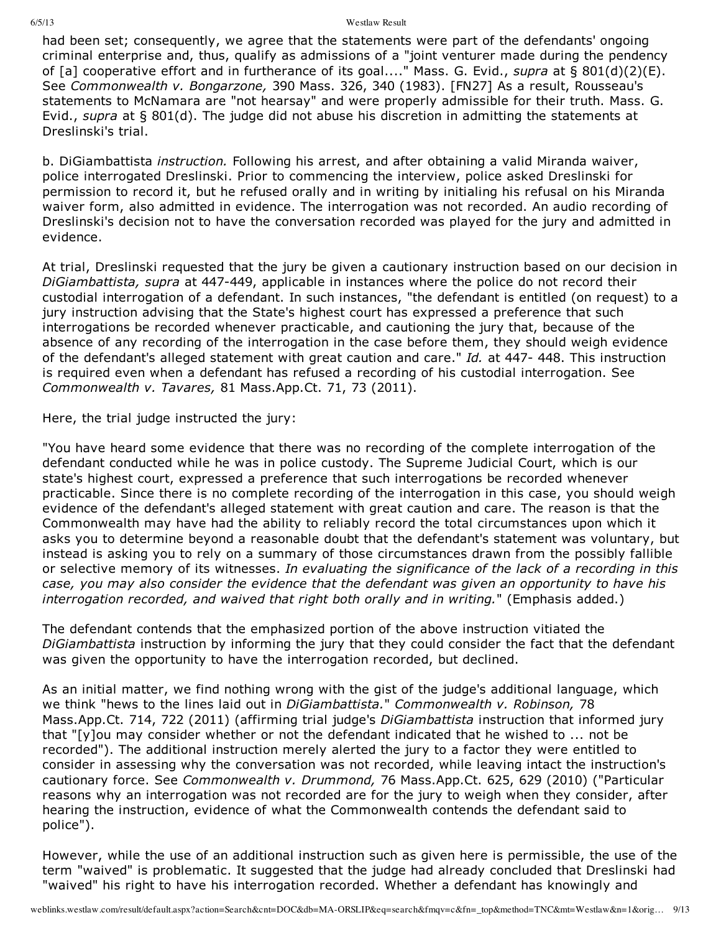had been set; consequently, we agree that the statements were part of the defendants' ongoing criminal enterprise and, thus, qualify as admissions of a "joint venturer made during the pendency of [a] cooperative effort and in furtherance of its goal...." Mass. G. Evid., *supra* at § 801(d)(2)(E). See *Commonwealth v. Bongarzone,* 390 Mass. 326, 340 (1983). [FN27] As a result, Rousseau's statements to McNamara are "not hearsay" and were properly admissible for their truth. Mass. G. Evid., *supra* at § 801(d). The judge did not abuse his discretion in admitting the statements at Dreslinski's trial.

b. DiGiambattista *instruction.* Following his arrest, and after obtaining a valid Miranda waiver, police interrogated Dreslinski. Prior to commencing the interview, police asked Dreslinski for permission to record it, but he refused orally and in writing by initialing his refusal on his Miranda waiver form, also admitted in evidence. The interrogation was not recorded. An audio recording of Dreslinski's decision not to have the conversation recorded was played for the jury and admitted in evidence.

At trial, Dreslinski requested that the jury be given a cautionary instruction based on our decision in *DiGiambattista, supra* at 447449, applicable in instances where the police do not record their custodial interrogation of a defendant. In such instances, "the defendant is entitled (on request) to a jury instruction advising that the State's highest court has expressed a preference that such interrogations be recorded whenever practicable, and cautioning the jury that, because of the absence of any recording of the interrogation in the case before them, they should weigh evidence of the defendant's alleged statement with great caution and care." *Id.* at 447- 448. This instruction is required even when a defendant has refused a recording of his custodial interrogation. See *Commonwealth v. Tavares,* 81 Mass.App.Ct. 71, 73 (2011).

Here, the trial judge instructed the jury:

"You have heard some evidence that there was no recording of the complete interrogation of the defendant conducted while he was in police custody. The Supreme Judicial Court, which is our state's highest court, expressed a preference that such interrogations be recorded whenever practicable. Since there is no complete recording of the interrogation in this case, you should weigh evidence of the defendant's alleged statement with great caution and care. The reason is that the Commonwealth may have had the ability to reliably record the total circumstances upon which it asks you to determine beyond a reasonable doubt that the defendant's statement was voluntary, but instead is asking you to rely on a summary of those circumstances drawn from the possibly fallible or selective memory of its witnesses. *In evaluating the significance of the lack of a recording in this case, you may also consider the evidence that the defendant was given an opportunity to have his interrogation recorded, and waived that right both orally and in writing.*" (Emphasis added.)

The defendant contends that the emphasized portion of the above instruction vitiated the *DiGiambattista* instruction by informing the jury that they could consider the fact that the defendant was given the opportunity to have the interrogation recorded, but declined.

As an initial matter, we find nothing wrong with the gist of the judge's additional language, which we think "hews to the lines laid out in *DiGiambattista.*" *Commonwealth v. Robinson,* 78 Mass.App.Ct. 714, 722 (2011) (affirming trial judge's *DiGiambattista* instruction that informed jury that "[y]ou may consider whether or not the defendant indicated that he wished to ... not be recorded"). The additional instruction merely alerted the jury to a factor they were entitled to consider in assessing why the conversation was not recorded, while leaving intact the instruction's cautionary force. See *Commonwealth v. Drummond,* 76 Mass.App.Ct. 625, 629 (2010) ("Particular reasons why an interrogation was not recorded are for the jury to weigh when they consider, after hearing the instruction, evidence of what the Commonwealth contends the defendant said to police").

However, while the use of an additional instruction such as given here is permissible, the use of the term "waived" is problematic. It suggested that the judge had already concluded that Dreslinski had "waived" his right to have his interrogation recorded. Whether a defendant has knowingly and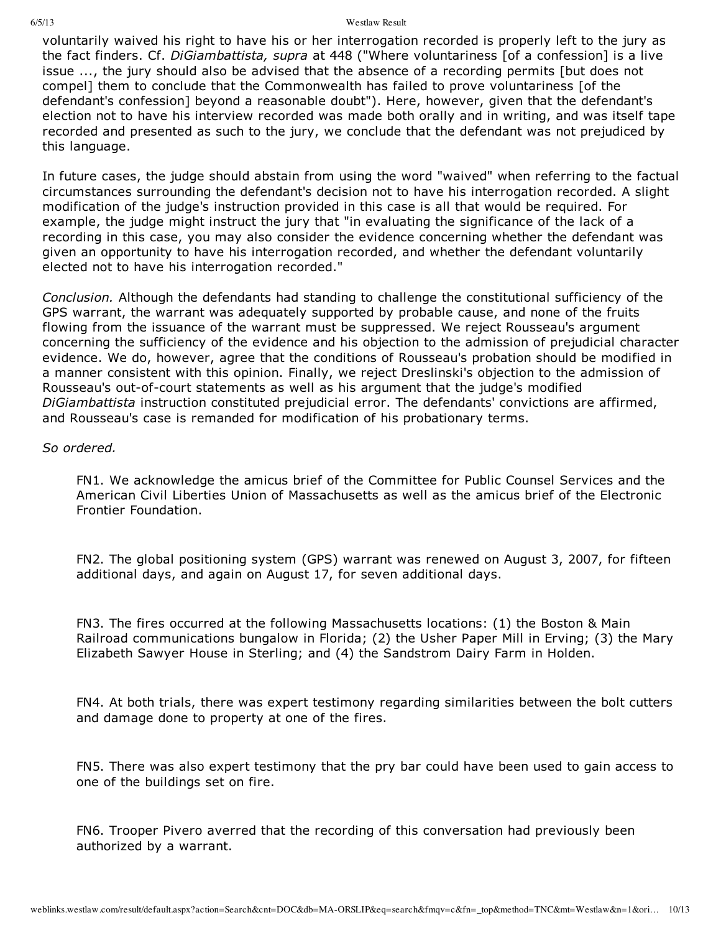voluntarily waived his right to have his or her interrogation recorded is properly left to the jury as the fact finders. Cf. *DiGiambattista, supra* at 448 ("Where voluntariness [of a confession] is a live issue ..., the jury should also be advised that the absence of a recording permits [but does not compel] them to conclude that the Commonwealth has failed to prove voluntariness [of the defendant's confession] beyond a reasonable doubt"). Here, however, given that the defendant's election not to have his interview recorded was made both orally and in writing, and was itself tape recorded and presented as such to the jury, we conclude that the defendant was not prejudiced by this language.

In future cases, the judge should abstain from using the word "waived" when referring to the factual circumstances surrounding the defendant's decision not to have his interrogation recorded. A slight modification of the judge's instruction provided in this case is all that would be required. For example, the judge might instruct the jury that "in evaluating the significance of the lack of a recording in this case, you may also consider the evidence concerning whether the defendant was given an opportunity to have his interrogation recorded, and whether the defendant voluntarily elected not to have his interrogation recorded."

*Conclusion.* Although the defendants had standing to challenge the constitutional sufficiency of the GPS warrant, the warrant was adequately supported by probable cause, and none of the fruits flowing from the issuance of the warrant must be suppressed. We reject Rousseau's argument concerning the sufficiency of the evidence and his objection to the admission of prejudicial character evidence. We do, however, agree that the conditions of Rousseau's probation should be modified in a manner consistent with this opinion. Finally, we reject Dreslinski's objection to the admission of Rousseau's out-of-court statements as well as his argument that the judge's modified *DiGiambattista* instruction constituted prejudicial error. The defendants' convictions are affirmed, and Rousseau's case is remanded for modification of his probationary terms.

# *So ordered.*

FN1. We acknowledge the amicus brief of the Committee for Public Counsel Services and the American Civil Liberties Union of Massachusetts as well as the amicus brief of the Electronic Frontier Foundation.

FN2. The global positioning system (GPS) warrant was renewed on August 3, 2007, for fifteen additional days, and again on August 17, for seven additional days.

FN3. The fires occurred at the following Massachusetts locations: (1) the Boston & Main Railroad communications bungalow in Florida; (2) the Usher Paper Mill in Erving; (3) the Mary Elizabeth Sawyer House in Sterling; and (4) the Sandstrom Dairy Farm in Holden.

FN4. At both trials, there was expert testimony regarding similarities between the bolt cutters and damage done to property at one of the fires.

FN5. There was also expert testimony that the pry bar could have been used to gain access to one of the buildings set on fire.

FN6. Trooper Pivero averred that the recording of this conversation had previously been authorized by a warrant.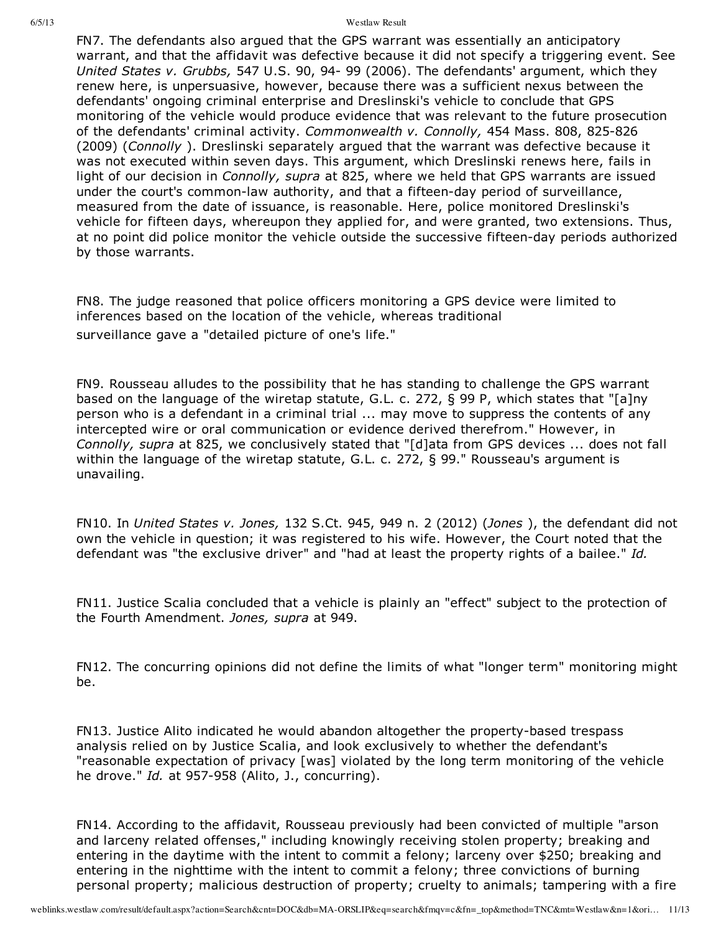FN7. The defendants also argued that the GPS warrant was essentially an anticipatory warrant, and that the affidavit was defective because it did not specify a triggering event. See *United States v. Grubbs,* 547 U.S. 90, 94 99 (2006). The defendants' argument, which they renew here, is unpersuasive, however, because there was a sufficient nexus between the defendants' ongoing criminal enterprise and Dreslinski's vehicle to conclude that GPS monitoring of the vehicle would produce evidence that was relevant to the future prosecution of the defendants' criminal activity. *Commonwealth v. Connolly*, 454 Mass. 808, 825-826 (2009) (*Connolly* ). Dreslinski separately argued that the warrant was defective because it was not executed within seven days. This argument, which Dreslinski renews here, fails in light of our decision in *Connolly, supra* at 825, where we held that GPS warrants are issued under the court's common-law authority, and that a fifteen-day period of surveillance, measured from the date of issuance, is reasonable. Here, police monitored Dreslinski's vehicle for fifteen days, whereupon they applied for, and were granted, two extensions. Thus, at no point did police monitor the vehicle outside the successive fifteen-day periods authorized by those warrants.

FN8. The judge reasoned that police officers monitoring a GPS device were limited to inferences based on the location of the vehicle, whereas traditional surveillance gave a "detailed picture of one's life."

FN9. Rousseau alludes to the possibility that he has standing to challenge the GPS warrant based on the language of the wiretap statute, G.L. c. 272, § 99 P, which states that "[a]ny person who is a defendant in a criminal trial ... may move to suppress the contents of any intercepted wire or oral communication or evidence derived therefrom." However, in *Connolly, supra* at 825, we conclusively stated that "[d]ata from GPS devices ... does not fall within the language of the wiretap statute, G.L. c. 272, § 99." Rousseau's argument is unavailing.

FN10. In *United States v. Jones,* 132 S.Ct. 945, 949 n. 2 (2012) (*Jones* ), the defendant did not own the vehicle in question; it was registered to his wife. However, the Court noted that the defendant was "the exclusive driver" and "had at least the property rights of a bailee." *Id.*

FN11. Justice Scalia concluded that a vehicle is plainly an "effect" subject to the protection of the Fourth Amendment. *Jones, supra* at 949.

FN12. The concurring opinions did not define the limits of what "longer term" monitoring might be.

FN13. Justice Alito indicated he would abandon altogether the property-based trespass analysis relied on by Justice Scalia, and look exclusively to whether the defendant's "reasonable expectation of privacy [was] violated by the long term monitoring of the vehicle he drove." *Id.* at 957-958 (Alito, J., concurring).

FN14. According to the affidavit, Rousseau previously had been convicted of multiple "arson and larceny related offenses," including knowingly receiving stolen property; breaking and entering in the daytime with the intent to commit a felony; larceny over \$250; breaking and entering in the nighttime with the intent to commit a felony; three convictions of burning personal property; malicious destruction of property; cruelty to animals; tampering with a fire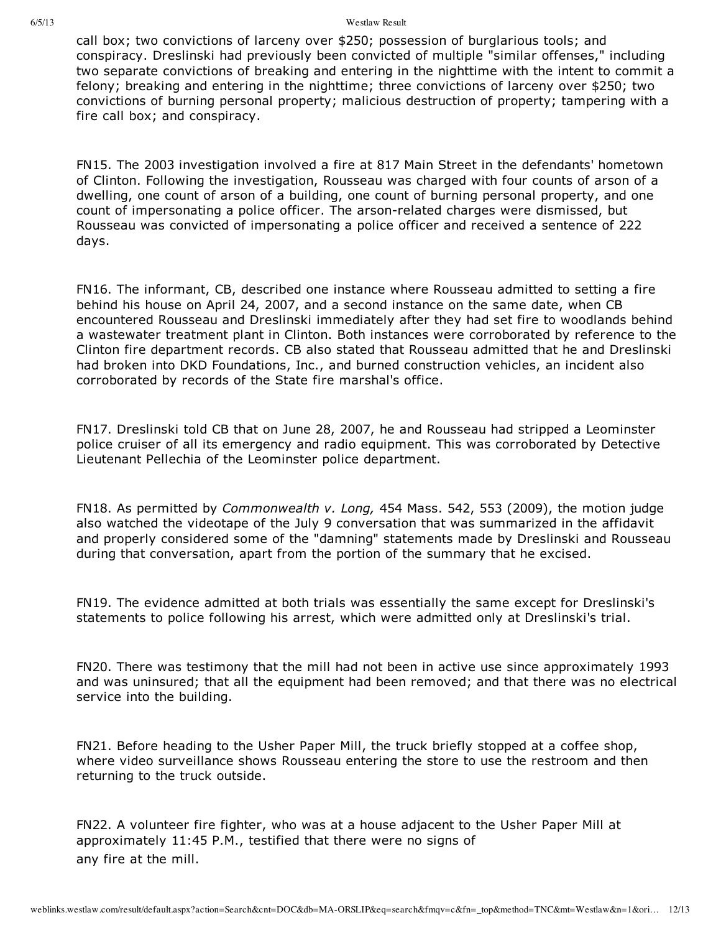call box; two convictions of larceny over \$250; possession of burglarious tools; and conspiracy. Dreslinski had previously been convicted of multiple "similar offenses," including two separate convictions of breaking and entering in the nighttime with the intent to commit a felony; breaking and entering in the nighttime; three convictions of larceny over \$250; two convictions of burning personal property; malicious destruction of property; tampering with a fire call box; and conspiracy.

FN15. The 2003 investigation involved a fire at 817 Main Street in the defendants' hometown of Clinton. Following the investigation, Rousseau was charged with four counts of arson of a dwelling, one count of arson of a building, one count of burning personal property, and one count of impersonating a police officer. The arson-related charges were dismissed, but Rousseau was convicted of impersonating a police officer and received a sentence of 222 days.

FN16. The informant, CB, described one instance where Rousseau admitted to setting a fire behind his house on April 24, 2007, and a second instance on the same date, when CB encountered Rousseau and Dreslinski immediately after they had set fire to woodlands behind a wastewater treatment plant in Clinton. Both instances were corroborated by reference to the Clinton fire department records. CB also stated that Rousseau admitted that he and Dreslinski had broken into DKD Foundations, Inc., and burned construction vehicles, an incident also corroborated by records of the State fire marshal's office.

FN17. Dreslinski told CB that on June 28, 2007, he and Rousseau had stripped a Leominster police cruiser of all its emergency and radio equipment. This was corroborated by Detective Lieutenant Pellechia of the Leominster police department.

FN18. As permitted by *Commonwealth v. Long,* 454 Mass. 542, 553 (2009), the motion judge also watched the videotape of the July 9 conversation that was summarized in the affidavit and properly considered some of the "damning" statements made by Dreslinski and Rousseau during that conversation, apart from the portion of the summary that he excised.

FN19. The evidence admitted at both trials was essentially the same except for Dreslinski's statements to police following his arrest, which were admitted only at Dreslinski's trial.

FN20. There was testimony that the mill had not been in active use since approximately 1993 and was uninsured; that all the equipment had been removed; and that there was no electrical service into the building.

FN21. Before heading to the Usher Paper Mill, the truck briefly stopped at a coffee shop, where video surveillance shows Rousseau entering the store to use the restroom and then returning to the truck outside.

FN22. A volunteer fire fighter, who was at a house adjacent to the Usher Paper Mill at approximately 11:45 P.M., testified that there were no signs of any fire at the mill.